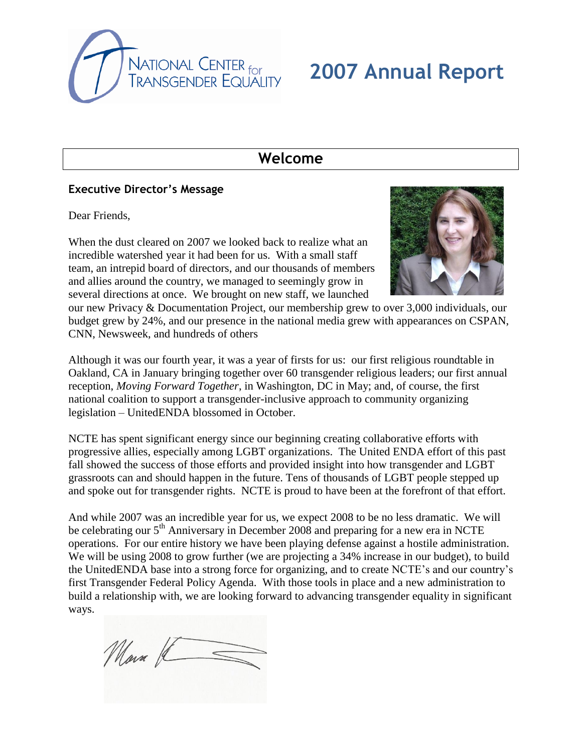

# **2007 Annual Report**

## **Welcome**

#### **Executive Director's Message**

Dear Friends,

When the dust cleared on 2007 we looked back to realize what an incredible watershed year it had been for us. With a small staff team, an intrepid board of directors, and our thousands of members and allies around the country, we managed to seemingly grow in several directions at once. We brought on new staff, we launched



our new Privacy & Documentation Project, our membership grew to over 3,000 individuals, our budget grew by 24%, and our presence in the national media grew with appearances on CSPAN, CNN, Newsweek, and hundreds of others

Although it was our fourth year, it was a year of firsts for us: our first religious roundtable in Oakland, CA in January bringing together over 60 transgender religious leaders; our first annual reception, *Moving Forward Together*, in Washington, DC in May; and, of course, the first national coalition to support a transgender-inclusive approach to community organizing legislation – UnitedENDA blossomed in October.

NCTE has spent significant energy since our beginning creating collaborative efforts with progressive allies, especially among LGBT organizations. The United ENDA effort of this past fall showed the success of those efforts and provided insight into how transgender and LGBT grassroots can and should happen in the future. Tens of thousands of LGBT people stepped up and spoke out for transgender rights. NCTE is proud to have been at the forefront of that effort.

And while 2007 was an incredible year for us, we expect 2008 to be no less dramatic. We will be celebrating our  $5<sup>th</sup>$  Anniversary in December 2008 and preparing for a new era in NCTE operations. For our entire history we have been playing defense against a hostile administration. We will be using 2008 to grow further (we are projecting a 34% increase in our budget), to build the UnitedENDA base into a strong force for organizing, and to create NCTE's and our country's first Transgender Federal Policy Agenda. With those tools in place and a new administration to build a relationship with, we are looking forward to advancing transgender equality in significant ways.

Main K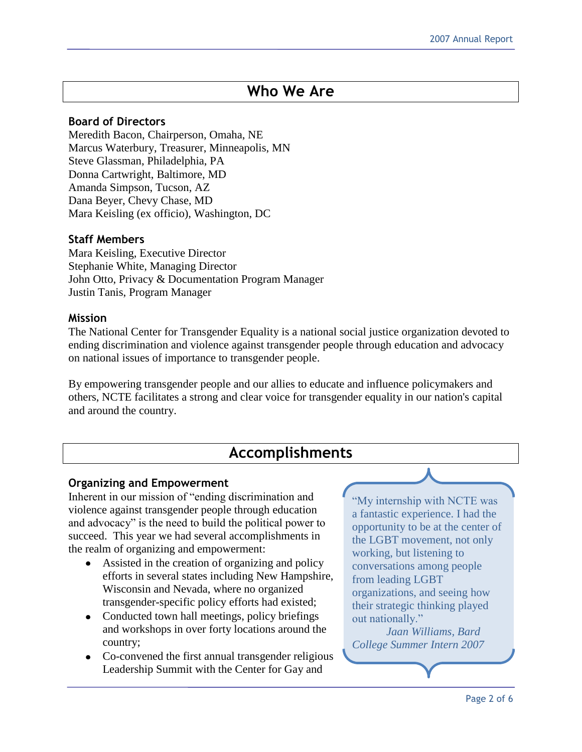## **Who We Are**

#### **Board of Directors**

Meredith Bacon, Chairperson, Omaha, NE Marcus Waterbury, Treasurer, Minneapolis, MN Steve Glassman, Philadelphia, PA Donna Cartwright, Baltimore, MD Amanda Simpson, Tucson, AZ Dana Beyer, Chevy Chase, MD Mara Keisling (ex officio), Washington, DC

#### **Staff Members**

Mara Keisling, Executive Director Stephanie White, Managing Director John Otto, Privacy & Documentation Program Manager Justin Tanis, Program Manager

#### **Mission**

The National Center for Transgender Equality is a national social justice organization devoted to ending discrimination and violence against transgender people through education and advocacy on national issues of importance to transgender people.

By empowering transgender people and our allies to educate and influence policymakers and others, NCTE facilitates a strong and clear voice for transgender equality in our nation's capital and around the country.

## **Accomplishments**

#### **Organizing and Empowerment**

Inherent in our mission of "ending discrimination and violence against transgender people through education and advocacy" is the need to build the political power to succeed. This year we had several accomplishments in the realm of organizing and empowerment:

- Assisted in the creation of organizing and policy efforts in several states including New Hampshire, Wisconsin and Nevada, where no organized transgender-specific policy efforts had existed;
- Conducted town hall meetings, policy briefings and workshops in over forty locations around the country;
- Co-convened the first annual transgender religious Leadership Summit with the Center for Gay and

"My internship with NCTE was a fantastic experience. I had the opportunity to be at the center of the LGBT movement, not only working, but listening to conversations among people from leading LGBT organizations, and seeing how their strategic thinking played out nationally."

*Jaan Williams, Bard College Summer Intern 2007*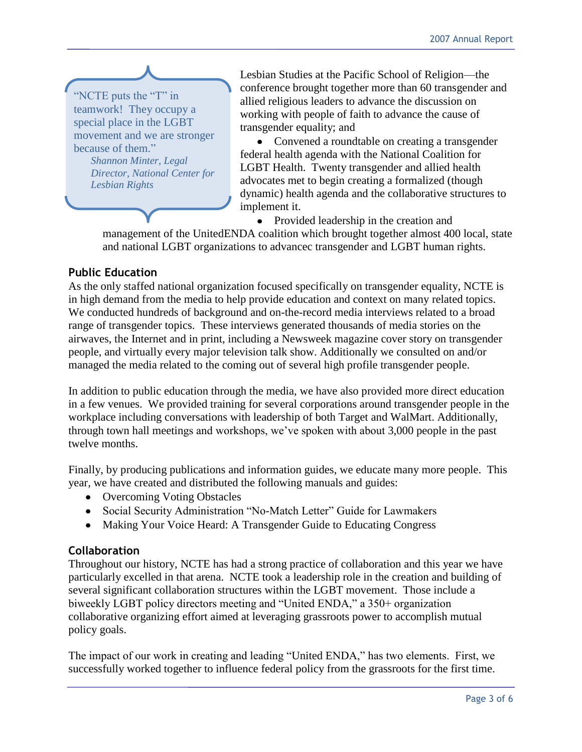

Lesbian Studies at the Pacific School of Religion—the conference brought together more than 60 transgender and allied religious leaders to advance the discussion on working with people of faith to advance the cause of transgender equality; and

• Convened a roundtable on creating a transgender federal health agenda with the National Coalition for LGBT Health. Twenty transgender and allied health advocates met to begin creating a formalized (though dynamic) health agenda and the collaborative structures to implement it.

• Provided leadership in the creation and

management of the UnitedENDA coalition which brought together almost 400 local, state and national LGBT organizations to advancec transgender and LGBT human rights.

#### **Public Education**

As the only staffed national organization focused specifically on transgender equality, NCTE is in high demand from the media to help provide education and context on many related topics. We conducted hundreds of background and on-the-record media interviews related to a broad range of transgender topics. These interviews generated thousands of media stories on the airwaves, the Internet and in print, including a Newsweek magazine cover story on transgender people, and virtually every major television talk show. Additionally we consulted on and/or managed the media related to the coming out of several high profile transgender people.

In addition to public education through the media, we have also provided more direct education in a few venues. We provided training for several corporations around transgender people in the workplace including conversations with leadership of both Target and WalMart. Additionally, through town hall meetings and workshops, we've spoken with about 3,000 people in the past twelve months.

Finally, by producing publications and information guides, we educate many more people. This year, we have created and distributed the following manuals and guides:

- Overcoming Voting Obstacles
- Social Security Administration "No-Match Letter" Guide for Lawmakers
- Making Your Voice Heard: A Transgender Guide to Educating Congress

#### **Collaboration**

Throughout our history, NCTE has had a strong practice of collaboration and this year we have particularly excelled in that arena. NCTE took a leadership role in the creation and building of several significant collaboration structures within the LGBT movement. Those include a biweekly LGBT policy directors meeting and "United ENDA," a 350+ organization collaborative organizing effort aimed at leveraging grassroots power to accomplish mutual policy goals.

The impact of our work in creating and leading "United ENDA," has two elements. First, we successfully worked together to influence federal policy from the grassroots for the first time.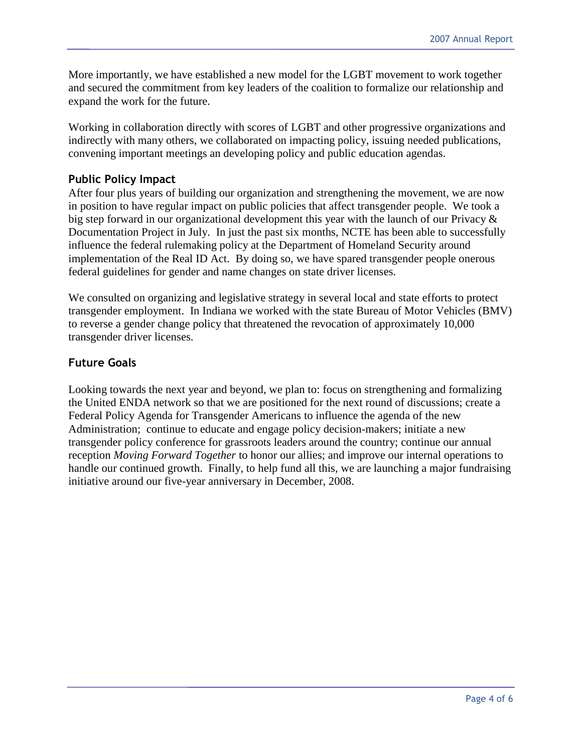More importantly, we have established a new model for the LGBT movement to work together and secured the commitment from key leaders of the coalition to formalize our relationship and expand the work for the future.

Working in collaboration directly with scores of LGBT and other progressive organizations and indirectly with many others, we collaborated on impacting policy, issuing needed publications, convening important meetings an developing policy and public education agendas.

## **Public Policy Impact**

After four plus years of building our organization and strengthening the movement, we are now in position to have regular impact on public policies that affect transgender people. We took a big step forward in our organizational development this year with the launch of our Privacy & Documentation Project in July. In just the past six months, NCTE has been able to successfully influence the federal rulemaking policy at the Department of Homeland Security around implementation of the Real ID Act. By doing so, we have spared transgender people onerous federal guidelines for gender and name changes on state driver licenses.

We consulted on organizing and legislative strategy in several local and state efforts to protect transgender employment. In Indiana we worked with the state Bureau of Motor Vehicles (BMV) to reverse a gender change policy that threatened the revocation of approximately 10,000 transgender driver licenses.

## **Future Goals**

Looking towards the next year and beyond, we plan to: focus on strengthening and formalizing the United ENDA network so that we are positioned for the next round of discussions; create a Federal Policy Agenda for Transgender Americans to influence the agenda of the new Administration; continue to educate and engage policy decision-makers; initiate a new transgender policy conference for grassroots leaders around the country; continue our annual reception *Moving Forward Together* to honor our allies; and improve our internal operations to handle our continued growth. Finally, to help fund all this, we are launching a major fundraising initiative around our five-year anniversary in December, 2008.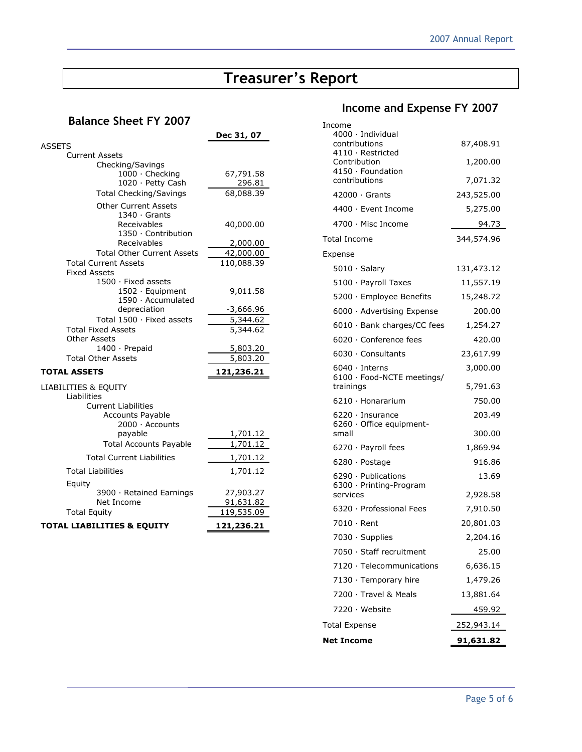# **Treasurer's Report**

## **Balance Sheet FY 2007**

|                                             | <u>Dec 31, 07</u>     |  |  |  |  |  |  |
|---------------------------------------------|-----------------------|--|--|--|--|--|--|
| <b>ASSETS</b>                               |                       |  |  |  |  |  |  |
| <b>Current Assets</b>                       |                       |  |  |  |  |  |  |
| Checking/Savings<br>1000 · Checking         | 67,791.58             |  |  |  |  |  |  |
| 1020 · Petty Cash                           | 296.81<br>68,088.39   |  |  |  |  |  |  |
| <b>Total Checking/Savings</b>               |                       |  |  |  |  |  |  |
| <b>Other Current Assets</b>                 |                       |  |  |  |  |  |  |
| $1340 \cdot$ Grants                         |                       |  |  |  |  |  |  |
| Receivables<br>1350 · Contribution          | 40,000.00<br>2,000.00 |  |  |  |  |  |  |
| Receivables                                 |                       |  |  |  |  |  |  |
| <b>Total Other Current Assets</b>           | 42,000.00             |  |  |  |  |  |  |
| <b>Total Current Assets</b>                 | 110,088.39            |  |  |  |  |  |  |
| <b>Fixed Assets</b>                         |                       |  |  |  |  |  |  |
| $1500 \cdot$ Fixed assets                   |                       |  |  |  |  |  |  |
| 1502 · Equipment<br>1590 · Accumulated      | 9,011.58              |  |  |  |  |  |  |
| depreciation                                | -3,666.96             |  |  |  |  |  |  |
| Total 1500 · Fixed assets                   | 5,344.62              |  |  |  |  |  |  |
| Total Fixed Assets                          | 5,344.62              |  |  |  |  |  |  |
| <b>Other Assets</b>                         |                       |  |  |  |  |  |  |
| 1400 · Prepaid<br><b>Total Other Assets</b> | 5,803.20<br>5,803.20  |  |  |  |  |  |  |
|                                             |                       |  |  |  |  |  |  |
| <b>TOTAL ASSETS</b>                         | 121,236.21            |  |  |  |  |  |  |
| LIABILITIES & EQUITY                        |                       |  |  |  |  |  |  |
| Liabilities<br><b>Current Liabilities</b>   |                       |  |  |  |  |  |  |
| <b>Accounts Payable</b>                     |                       |  |  |  |  |  |  |
| 2000 · Accounts                             |                       |  |  |  |  |  |  |
| payable                                     | 1,701.12              |  |  |  |  |  |  |
| <b>Total Accounts Payable</b>               | 1,701.12              |  |  |  |  |  |  |
| <b>Total Current Liabilities</b>            | 1,701.12              |  |  |  |  |  |  |
| Total Liabilities                           | 1,701.12              |  |  |  |  |  |  |
| Equity                                      |                       |  |  |  |  |  |  |
| 3900 · Retained Earnings                    | 27,903.27             |  |  |  |  |  |  |
| Net Income                                  | 91,631.82             |  |  |  |  |  |  |
| <b>Total Equity</b>                         | 119,535.09            |  |  |  |  |  |  |
| <b>TOTAL LIABILITIES &amp; EQUITY</b>       | 121,236.21            |  |  |  |  |  |  |

# **Income and Expense FY 2007**

| Income<br>$4000 \cdot$ Individual<br>contributions<br>$4110 \cdot$ Restricted<br>Contribution<br>4150 · Foundation<br>contributions<br>$42000 \cdot$ Grants | 87,408.91<br>1,200.00<br>7,071.32<br>243,525.00 |  |  |
|-------------------------------------------------------------------------------------------------------------------------------------------------------------|-------------------------------------------------|--|--|
| 4400 · Event Income                                                                                                                                         | 5,275.00                                        |  |  |
| 4700 · Misc Income                                                                                                                                          | 94.73                                           |  |  |
| <b>Total Income</b>                                                                                                                                         | 344,574.96                                      |  |  |
| Expense                                                                                                                                                     |                                                 |  |  |
| $5010 \cdot$ Salary                                                                                                                                         | 131,473.12                                      |  |  |
| 5100 · Payroll Taxes                                                                                                                                        | 11,557.19                                       |  |  |
| 5200 · Employee Benefits                                                                                                                                    | 15,248.72                                       |  |  |
| 6000 · Advertising Expense                                                                                                                                  | 200.00                                          |  |  |
| $6010 \cdot$ Bank charges/CC fees                                                                                                                           | 1,254.27                                        |  |  |
| 6020 · Conference fees                                                                                                                                      | 420.00                                          |  |  |
| 6030 · Consultants                                                                                                                                          | 23,617.99                                       |  |  |
| $6040 \cdot$ Interns<br>6100 · Food-NCTE meetings/<br>trainings                                                                                             | 3,000.00<br>5,791.63                            |  |  |
|                                                                                                                                                             |                                                 |  |  |
| $6210 \cdot$ Honararium                                                                                                                                     | 750.00                                          |  |  |
| 6220 · Insurance<br>$6260 \cdot$ Office equipment-<br>small                                                                                                 | 203.49<br>300.00                                |  |  |
| 6270 · Payroll fees                                                                                                                                         | 1,869.94                                        |  |  |
| $6280 \cdot$ Postage                                                                                                                                        | 916.86                                          |  |  |
| 6290 · Publications<br>6300 · Printing-Program                                                                                                              | 13.69                                           |  |  |
| services                                                                                                                                                    | 2,928.58                                        |  |  |
| 6320 · Professional Fees                                                                                                                                    | 7,910.50                                        |  |  |
| 7010 · Rent                                                                                                                                                 | 20,801.03                                       |  |  |
| 7030 · Supplies                                                                                                                                             | 2,204.16                                        |  |  |
| 7050 · Staff recruitment                                                                                                                                    | 25.00                                           |  |  |
| 7120 · Telecommunications                                                                                                                                   | 6,636.15                                        |  |  |
| 7130 · Temporary hire                                                                                                                                       | 1,479.26                                        |  |  |
| 7200 · Travel & Meals                                                                                                                                       | 13,881.64                                       |  |  |
| 7220 · Website                                                                                                                                              | 459.92                                          |  |  |
| <b>Total Expense</b>                                                                                                                                        | 252,943.14                                      |  |  |
| <b>Net Income</b>                                                                                                                                           | <u>91,631.82</u>                                |  |  |